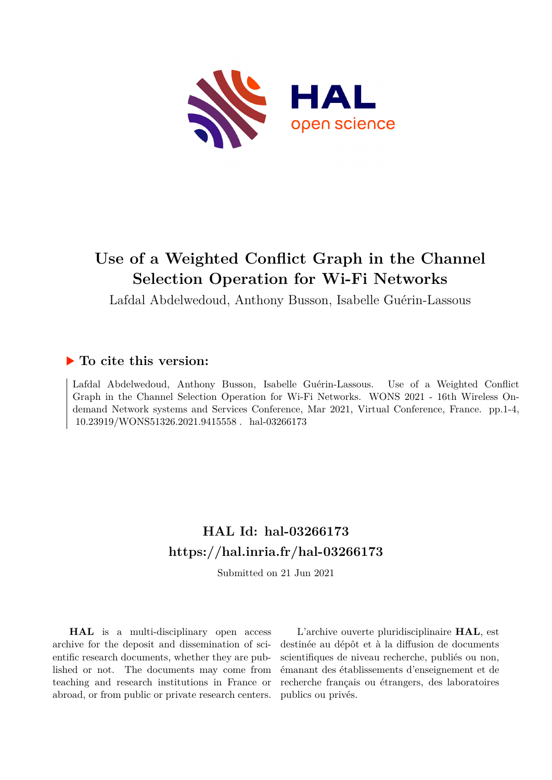

## **Use of a Weighted Conflict Graph in the Channel Selection Operation for Wi-Fi Networks**

Lafdal Abdelwedoud, Anthony Busson, Isabelle Guérin-Lassous

### **To cite this version:**

Lafdal Abdelwedoud, Anthony Busson, Isabelle Guérin-Lassous. Use of a Weighted Conflict Graph in the Channel Selection Operation for Wi-Fi Networks. WONS 2021 - 16th Wireless Ondemand Network systems and Services Conference, Mar 2021, Virtual Conference, France. pp.1-4,  $10.23919/\mbox{WONS}51326.2021.9415558$  . <code>hal-03266173</code>

## **HAL Id: hal-03266173 <https://hal.inria.fr/hal-03266173>**

Submitted on 21 Jun 2021

**HAL** is a multi-disciplinary open access archive for the deposit and dissemination of scientific research documents, whether they are published or not. The documents may come from teaching and research institutions in France or abroad, or from public or private research centers.

L'archive ouverte pluridisciplinaire **HAL**, est destinée au dépôt et à la diffusion de documents scientifiques de niveau recherche, publiés ou non, émanant des établissements d'enseignement et de recherche français ou étrangers, des laboratoires publics ou privés.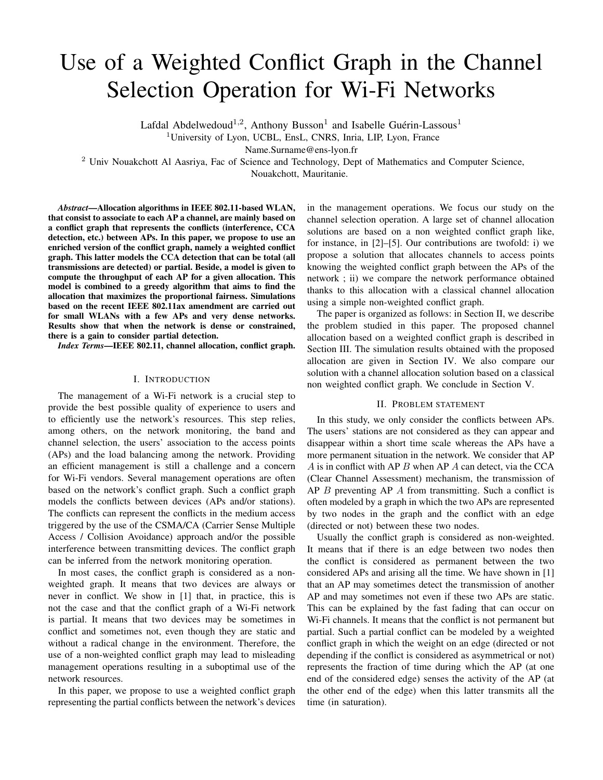# Use of a Weighted Conflict Graph in the Channel Selection Operation for Wi-Fi Networks

Lafdal Abdelwedoud<sup>1,2</sup>, Anthony Busson<sup>1</sup> and Isabelle Guérin-Lassous<sup>1</sup>

<sup>1</sup>University of Lyon, UCBL, EnsL, CNRS, Inria, LIP, Lyon, France

Name.Surname@ens-lyon.fr

<sup>2</sup> Univ Nouakchott Al Aasriya, Fac of Science and Technology, Dept of Mathematics and Computer Science,

Nouakchott, Mauritanie.

*Abstract*—Allocation algorithms in IEEE 802.11-based WLAN, that consist to associate to each AP a channel, are mainly based on a conflict graph that represents the conflicts (interference, CCA detection, etc.) between APs. In this paper, we propose to use an enriched version of the conflict graph, namely a weighted conflict graph. This latter models the CCA detection that can be total (all transmissions are detected) or partial. Beside, a model is given to compute the throughput of each AP for a given allocation. This model is combined to a greedy algorithm that aims to find the allocation that maximizes the proportional fairness. Simulations based on the recent IEEE 802.11ax amendment are carried out for small WLANs with a few APs and very dense networks. Results show that when the network is dense or constrained, there is a gain to consider partial detection.

*Index Terms*—IEEE 802.11, channel allocation, conflict graph.

#### I. INTRODUCTION

The management of a Wi-Fi network is a crucial step to provide the best possible quality of experience to users and to efficiently use the network's resources. This step relies, among others, on the network monitoring, the band and channel selection, the users' association to the access points (APs) and the load balancing among the network. Providing an efficient management is still a challenge and a concern for Wi-Fi vendors. Several management operations are often based on the network's conflict graph. Such a conflict graph models the conflicts between devices (APs and/or stations). The conflicts can represent the conflicts in the medium access triggered by the use of the CSMA/CA (Carrier Sense Multiple Access / Collision Avoidance) approach and/or the possible interference between transmitting devices. The conflict graph can be inferred from the network monitoring operation.

In most cases, the conflict graph is considered as a nonweighted graph. It means that two devices are always or never in conflict. We show in [1] that, in practice, this is not the case and that the conflict graph of a Wi-Fi network is partial. It means that two devices may be sometimes in conflict and sometimes not, even though they are static and without a radical change in the environment. Therefore, the use of a non-weighted conflict graph may lead to misleading management operations resulting in a suboptimal use of the network resources.

In this paper, we propose to use a weighted conflict graph representing the partial conflicts between the network's devices in the management operations. We focus our study on the channel selection operation. A large set of channel allocation solutions are based on a non weighted conflict graph like, for instance, in [2]–[5]. Our contributions are twofold: i) we propose a solution that allocates channels to access points knowing the weighted conflict graph between the APs of the network ; ii) we compare the network performance obtained thanks to this allocation with a classical channel allocation using a simple non-weighted conflict graph.

The paper is organized as follows: in Section II, we describe the problem studied in this paper. The proposed channel allocation based on a weighted conflict graph is described in Section III. The simulation results obtained with the proposed allocation are given in Section IV. We also compare our solution with a channel allocation solution based on a classical non weighted conflict graph. We conclude in Section V.

#### II. PROBLEM STATEMENT

In this study, we only consider the conflicts between APs. The users' stations are not considered as they can appear and disappear within a short time scale whereas the APs have a more permanent situation in the network. We consider that AP  $A$  is in conflict with AP  $B$  when AP  $A$  can detect, via the CCA (Clear Channel Assessment) mechanism, the transmission of AP B preventing AP A from transmitting. Such a conflict is often modeled by a graph in which the two APs are represented by two nodes in the graph and the conflict with an edge (directed or not) between these two nodes.

Usually the conflict graph is considered as non-weighted. It means that if there is an edge between two nodes then the conflict is considered as permanent between the two considered APs and arising all the time. We have shown in [1] that an AP may sometimes detect the transmission of another AP and may sometimes not even if these two APs are static. This can be explained by the fast fading that can occur on Wi-Fi channels. It means that the conflict is not permanent but partial. Such a partial conflict can be modeled by a weighted conflict graph in which the weight on an edge (directed or not depending if the conflict is considered as asymmetrical or not) represents the fraction of time during which the AP (at one end of the considered edge) senses the activity of the AP (at the other end of the edge) when this latter transmits all the time (in saturation).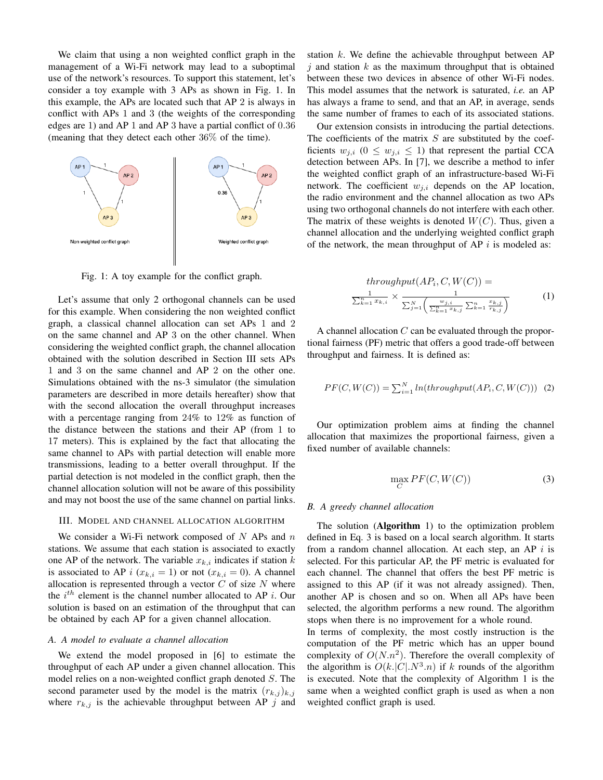We claim that using a non weighted conflict graph in the management of a Wi-Fi network may lead to a suboptimal use of the network's resources. To support this statement, let's consider a toy example with 3 APs as shown in Fig. 1. In this example, the APs are located such that AP 2 is always in conflict with APs 1 and 3 (the weights of the corresponding edges are 1) and AP 1 and AP 3 have a partial conflict of 0.36 (meaning that they detect each other 36% of the time).



Fig. 1: A toy example for the conflict graph.

Let's assume that only 2 orthogonal channels can be used for this example. When considering the non weighted conflict graph, a classical channel allocation can set APs 1 and 2 on the same channel and AP 3 on the other channel. When considering the weighted conflict graph, the channel allocation obtained with the solution described in Section III sets APs 1 and 3 on the same channel and AP 2 on the other one. Simulations obtained with the ns-3 simulator (the simulation parameters are described in more details hereafter) show that with the second allocation the overall throughput increases with a percentage ranging from 24% to 12% as function of the distance between the stations and their AP (from 1 to 17 meters). This is explained by the fact that allocating the same channel to APs with partial detection will enable more transmissions, leading to a better overall throughput. If the partial detection is not modeled in the conflict graph, then the channel allocation solution will not be aware of this possibility and may not boost the use of the same channel on partial links.

#### III. MODEL AND CHANNEL ALLOCATION ALGORITHM

We consider a Wi-Fi network composed of  $N$  APs and  $n$ stations. We assume that each station is associated to exactly one AP of the network. The variable  $x_{k,i}$  indicates if station k is associated to AP i  $(x_{k,i} = 1)$  or not  $(x_{k,i} = 0)$ . A channel allocation is represented through a vector  $C$  of size  $N$  where the  $i^{th}$  element is the channel number allocated to AP *i*. Our solution is based on an estimation of the throughput that can be obtained by each AP for a given channel allocation.

#### *A. A model to evaluate a channel allocation*

We extend the model proposed in [6] to estimate the throughput of each AP under a given channel allocation. This model relies on a non-weighted conflict graph denoted S. The second parameter used by the model is the matrix  $(r_{k,j})_{k,j}$ where  $r_{k,j}$  is the achievable throughput between AP j and station  $k$ . We define the achievable throughput between AP  $i$  and station k as the maximum throughput that is obtained between these two devices in absence of other Wi-Fi nodes. This model assumes that the network is saturated, *i.e.* an AP has always a frame to send, and that an AP, in average, sends the same number of frames to each of its associated stations.

Our extension consists in introducing the partial detections. The coefficients of the matrix  $S$  are substituted by the coefficients  $w_{j,i}$  ( $0 \leq w_{j,i} \leq 1$ ) that represent the partial CCA detection between APs. In [7], we describe a method to infer the weighted conflict graph of an infrastructure-based Wi-Fi network. The coefficient  $w_{j,i}$  depends on the AP location, the radio environment and the channel allocation as two APs using two orthogonal channels do not interfere with each other. The matrix of these weights is denoted  $W(C)$ . Thus, given a channel allocation and the underlying weighted conflict graph of the network, the mean throughput of AP  $i$  is modeled as:

$$
throughput (AP_i, C, W(C)) = \frac{1}{\sum_{k=1}^{n} x_{k,i}} \times \frac{1}{\sum_{j=1}^{N} \left( \frac{w_{j,i}}{\sum_{k=1}^{n} x_{k,j}} \sum_{k=1}^{n} \frac{x_{k,j}}{r_{k,j}} \right)}
$$
(1)

A channel allocation  $C$  can be evaluated through the proportional fairness (PF) metric that offers a good trade-off between throughput and fairness. It is defined as:

$$
PF(C, W(C)) = \sum_{i=1}^{N} ln(throughput(AP_i, C, W(C))) \tag{2}
$$

Our optimization problem aims at finding the channel allocation that maximizes the proportional fairness, given a fixed number of available channels:

$$
\max_{C} PF(C, W(C))
$$
\n(3)

#### *B. A greedy channel allocation*

The solution (Algorithm 1) to the optimization problem defined in Eq. 3 is based on a local search algorithm. It starts from a random channel allocation. At each step, an AP  $i$  is selected. For this particular AP, the PF metric is evaluated for each channel. The channel that offers the best PF metric is assigned to this AP (if it was not already assigned). Then, another AP is chosen and so on. When all APs have been selected, the algorithm performs a new round. The algorithm stops when there is no improvement for a whole round.

In terms of complexity, the most costly instruction is the computation of the PF metric which has an upper bound complexity of  $O(N.n^2)$ . Therefore the overall complexity of the algorithm is  $O(k!C! \cdot N^3 \cdot n)$  if k rounds of the algorithm is executed. Note that the complexity of Algorithm 1 is the same when a weighted conflict graph is used as when a non weighted conflict graph is used.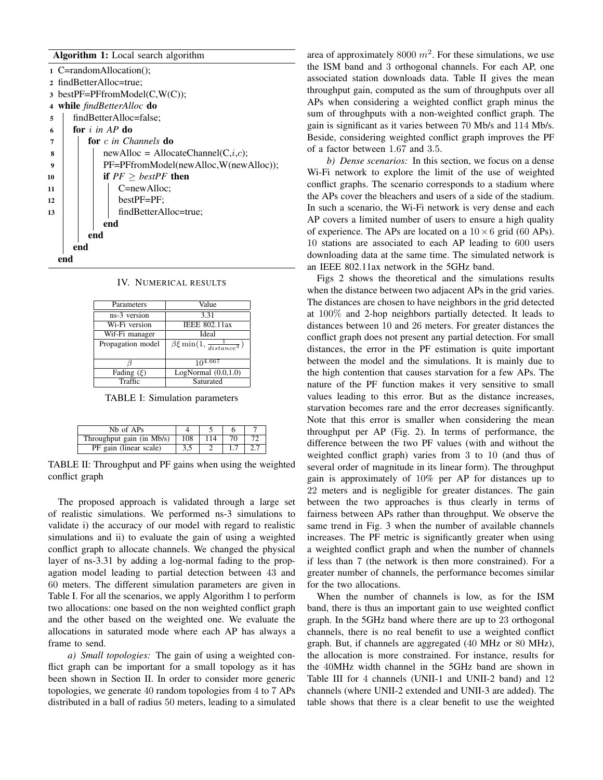#### Algorithm 1: Local search algorithm

|    | 1 C=randomAllocation();                  |  |  |  |  |  |  |
|----|------------------------------------------|--|--|--|--|--|--|
|    | 2 findBetterAlloc=true;                  |  |  |  |  |  |  |
|    | $\alpha$ bestPF=PFfromModel(C,W(C));     |  |  |  |  |  |  |
| 4  | while findBetterAlloc do                 |  |  |  |  |  |  |
| 5  | findBetterAlloc=false;                   |  |  |  |  |  |  |
| 6  | for $i$ in AP do                         |  |  |  |  |  |  |
| 7  | for c in Channels do                     |  |  |  |  |  |  |
| 8  | $newAlice = AllocationChannel(C, i, c);$ |  |  |  |  |  |  |
| 9  | PF=PFfromModel(newAlloc,W(newAlloc));    |  |  |  |  |  |  |
| 10 | if $PF > bestPF$ then                    |  |  |  |  |  |  |
| 11 | C=newAlloc;                              |  |  |  |  |  |  |
| 12 | $bestPF = PF$ ;                          |  |  |  |  |  |  |
| 13 | findBetterAlloc=true;                    |  |  |  |  |  |  |
|    | end                                      |  |  |  |  |  |  |
|    | end                                      |  |  |  |  |  |  |
|    | end                                      |  |  |  |  |  |  |
|    | end                                      |  |  |  |  |  |  |
|    |                                          |  |  |  |  |  |  |

|  | IV. NUMERICAL RESULTS |  |
|--|-----------------------|--|
|--|-----------------------|--|

| Parameters        | Value                                                  |
|-------------------|--------------------------------------------------------|
| ns-3 version      | 3.31                                                   |
| Wi-Fi version     | <b>IEEE 802.11ax</b>                                   |
| Wif-Fi manager    | Ideal                                                  |
| Propagation model | $\overline{\beta \xi}$ min $(1, \frac{1}{distance^3})$ |
|                   | $10^{4.667}$                                           |
| Fading $(\xi)$    | LogNormal $(0.0, 1.0)$                                 |
| Traffic           | Saturated                                              |
|                   |                                                        |

TABLE I: Simulation parameters

| Nh of APs                                      |     |     |    |  |
|------------------------------------------------|-----|-----|----|--|
| Throughput gain (in $\overline{\text{Mb/s}}$ ) | 108 | 114 | 70 |  |
| PF gain (linear scale)                         | 3,5 |     |    |  |

TABLE II: Throughput and PF gains when using the weighted conflict graph

The proposed approach is validated through a large set of realistic simulations. We performed ns-3 simulations to validate i) the accuracy of our model with regard to realistic simulations and ii) to evaluate the gain of using a weighted conflict graph to allocate channels. We changed the physical layer of ns-3.31 by adding a log-normal fading to the propagation model leading to partial detection between 43 and 60 meters. The different simulation parameters are given in Table I. For all the scenarios, we apply Algorithm 1 to perform two allocations: one based on the non weighted conflict graph and the other based on the weighted one. We evaluate the allocations in saturated mode where each AP has always a frame to send.

*a) Small topologies:* The gain of using a weighted conflict graph can be important for a small topology as it has been shown in Section II. In order to consider more generic topologies, we generate 40 random topologies from 4 to 7 APs distributed in a ball of radius 50 meters, leading to a simulated

area of approximately 8000  $m^2$ . For these simulations, we use the ISM band and 3 orthogonal channels. For each AP, one associated station downloads data. Table II gives the mean throughput gain, computed as the sum of throughputs over all APs when considering a weighted conflict graph minus the sum of throughputs with a non-weighted conflict graph. The gain is significant as it varies between 70 Mb/s and 114 Mb/s. Beside, considering weighted conflict graph improves the PF of a factor between 1.67 and 3.5.

*b) Dense scenarios:* In this section, we focus on a dense Wi-Fi network to explore the limit of the use of weighted conflict graphs. The scenario corresponds to a stadium where the APs cover the bleachers and users of a side of the stadium. In such a scenario, the Wi-Fi network is very dense and each AP covers a limited number of users to ensure a high quality of experience. The APs are located on a  $10 \times 6$  grid (60 APs). 10 stations are associated to each AP leading to 600 users downloading data at the same time. The simulated network is an IEEE 802.11ax network in the 5GHz band.

Figs 2 shows the theoretical and the simulations results when the distance between two adjacent APs in the grid varies. The distances are chosen to have neighbors in the grid detected at 100% and 2-hop neighbors partially detected. It leads to distances between 10 and 26 meters. For greater distances the conflict graph does not present any partial detection. For small distances, the error in the PF estimation is quite important between the model and the simulations. It is mainly due to the high contention that causes starvation for a few APs. The nature of the PF function makes it very sensitive to small values leading to this error. But as the distance increases, starvation becomes rare and the error decreases significantly. Note that this error is smaller when considering the mean throughput per AP (Fig. 2). In terms of performance, the difference between the two PF values (with and without the weighted conflict graph) varies from 3 to 10 (and thus of several order of magnitude in its linear form). The throughput gain is approximately of 10% per AP for distances up to 22 meters and is negligible for greater distances. The gain between the two approaches is thus clearly in terms of fairness between APs rather than throughput. We observe the same trend in Fig. 3 when the number of available channels increases. The PF metric is significantly greater when using a weighted conflict graph and when the number of channels if less than 7 (the network is then more constrained). For a greater number of channels, the performance becomes similar for the two allocations.

When the number of channels is low, as for the ISM band, there is thus an important gain to use weighted conflict graph. In the 5GHz band where there are up to 23 orthogonal channels, there is no real benefit to use a weighted conflict graph. But, if channels are aggregated (40 MHz or 80 MHz), the allocation is more constrained. For instance, results for the 40MHz width channel in the 5GHz band are shown in Table III for 4 channels (UNII-1 and UNII-2 band) and 12 channels (where UNII-2 extended and UNII-3 are added). The table shows that there is a clear benefit to use the weighted